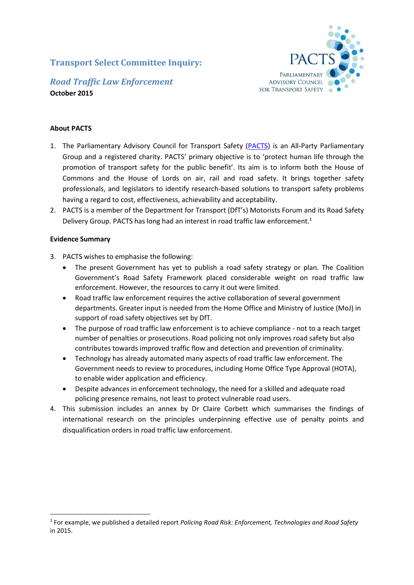# **Transport Select Committee Inquiry:**



## *Road Traffic Law Enforcement* **October 2015**

### **About PACTS**

- 1. The Parliamentary Advisory Council for Transport Safety [\(PACTS\)](http://www.pacts.org.uk/) is an All-Party Parliamentary Group and a registered charity. PACTS' primary objective is to 'protect human life through the promotion of transport safety for the public benefit'. Its aim is to inform both the House of Commons and the House of Lords on air, rail and road safety. It brings together safety professionals, and legislators to identify research-based solutions to transport safety problems having a regard to cost, effectiveness, achievability and acceptability.
- 2. PACTS is a member of the Department for Transport (DfT's) Motorists Forum and its Road Safety Delivery Group. PACTS has long had an interest in road traffic law enforcement.<sup>1</sup>

### **Evidence Summary**

- 3. PACTS wishes to emphasise the following:
	- The present Government has yet to publish a road safety strategy or plan. The Coalition Government's Road Safety Framework placed considerable weight on road traffic law enforcement. However, the resources to carry it out were limited.
	- Road traffic law enforcement requires the active collaboration of several government departments. Greater input is needed from the Home Office and Ministry of Justice (MoJ) in support of road safety objectives set by DfT.
	- The purpose of road traffic law enforcement is to achieve compliance not to a reach target number of penalties or prosecutions. Road policing not only improves road safety but also contributes towards improved traffic flow and detection and prevention of criminality.
	- Technology has already automated many aspects of road traffic law enforcement. The Government needs to review to procedures, including Home Office Type Approval (HOTA), to enable wider application and efficiency.
	- Despite advances in enforcement technology, the need for a skilled and adequate road policing presence remains, not least to protect vulnerable road users.
- 4. This submission includes an annex by Dr Claire Corbett which summarises the findings of international research on the principles underpinning effective use of penalty points and disqualification orders in road traffic law enforcement.

<sup>1</sup> For example, we published a detailed report *Policing Road Risk: Enforcement, Technologies and Road Safety* in 2015.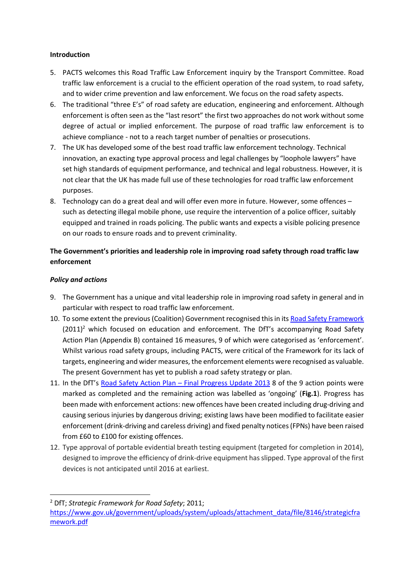### **Introduction**

- 5. PACTS welcomes this Road Traffic Law Enforcement inquiry by the Transport Committee. Road traffic law enforcement is a crucial to the efficient operation of the road system, to road safety, and to wider crime prevention and law enforcement. We focus on the road safety aspects.
- 6. The traditional "three E's" of road safety are education, engineering and enforcement. Although enforcement is often seen as the "last resort" the first two approaches do not work without some degree of actual or implied enforcement. The purpose of road traffic law enforcement is to achieve compliance - not to a reach target number of penalties or prosecutions.
- 7. The UK has developed some of the best road traffic law enforcement technology. Technical innovation, an exacting type approval process and legal challenges by "loophole lawyers" have set high standards of equipment performance, and technical and legal robustness. However, it is not clear that the UK has made full use of these technologies for road traffic law enforcement purposes.
- 8. Technology can do a great deal and will offer even more in future. However, some offences such as detecting illegal mobile phone, use require the intervention of a police officer, suitably equipped and trained in roads policing. The public wants and expects a visible policing presence on our roads to ensure roads and to prevent criminality.

# **The Government's priorities and leadership role in improving road safety through road traffic law enforcement**

### *Policy and actions*

 $\overline{a}$ 

- 9. The Government has a unique and vital leadership role in improving road safety in general and in particular with respect to road traffic law enforcement.
- 10. To some extent the previous (Coalition) Government recognised this in it[s Road Safety Framework](file://///PACTS-SERVER/Data/PARLIAMENT/Transport%20Select%20Committee/2015/Inquiry-%20Road%20Traffic%20Law%20Enforcement/•%09Enforcement%20equipment%20(as%20in%20holding%20HOTA)%20can%20only%20do%20one%20thing%20at%20a%20time%20–%20i.e.%20an%20ANPR%20camera%20used%20for%20average%20speed%20enforcement%20cannot%20simultaneously%20identify%20a%20wanted%20vehicle,%20or%20provide%20journey%20time%20information.%20%20This%20is%20a%20legislative%20thing%20that%20stops%20better%20use%20being%20made%20of%20existing%20technology.)  $(2011)^2$  which focused on education and enforcement. The DfT's accompanying Road Safety Action Plan (Appendix B) contained 16 measures, 9 of which were categorised as 'enforcement'. Whilst various road safety groups, including PACTS, were critical of the Framework for its lack of targets, engineering and wider measures, the enforcement elements were recognised as valuable. The present Government has yet to publish a road safety strategy or plan.
- 11. In the DfT's Road Safety Action Plan [Final Progress Update 2013](https://www.gov.uk/government/uploads/system/uploads/attachment_data/file/246071/2013-roads-strategic-framework-progress.pdf) 8 of the 9 action points were marked as completed and the remaining action was labelled as 'ongoing' (**Fig.1**). Progress has been made with enforcement actions: new offences have been created including drug-driving and causing serious injuries by dangerous driving; existing laws have been modified to facilitate easier enforcement (drink-driving and careless driving) and fixed penalty notices (FPNs) have been raised from £60 to £100 for existing offences.
- 12. Type approval of portable evidential breath testing equipment (targeted for completion in 2014), designed to improve the efficiency of drink-drive equipment has slipped. Type approval of the first devices is not anticipated until 2016 at earliest.

<sup>2</sup> DfT; *Strategic Framework for Road Safety*; 2011;

[https://www.gov.uk/government/uploads/system/uploads/attachment\\_data/file/8146/strategicfra](https://www.gov.uk/government/uploads/system/uploads/attachment_data/file/8146/strategicframework.pdf) [mework.pdf](https://www.gov.uk/government/uploads/system/uploads/attachment_data/file/8146/strategicframework.pdf)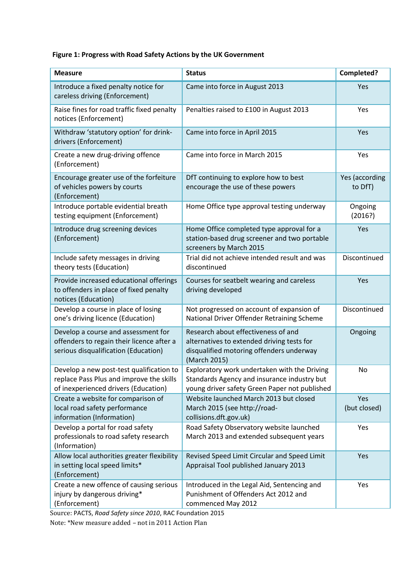# **Figure 1: Progress with Road Safety Actions by the UK Government**

| <b>Measure</b>                                                                                                               | <b>Status</b>                                                                                                                                 | Completed?                |
|------------------------------------------------------------------------------------------------------------------------------|-----------------------------------------------------------------------------------------------------------------------------------------------|---------------------------|
| Introduce a fixed penalty notice for<br>careless driving (Enforcement)                                                       | Came into force in August 2013                                                                                                                | Yes                       |
| Raise fines for road traffic fixed penalty<br>notices (Enforcement)                                                          | Penalties raised to £100 in August 2013                                                                                                       | Yes                       |
| Withdraw 'statutory option' for drink-<br>drivers (Enforcement)                                                              | Came into force in April 2015                                                                                                                 | Yes                       |
| Create a new drug-driving offence<br>(Enforcement)                                                                           | Came into force in March 2015                                                                                                                 | Yes                       |
| Encourage greater use of the forfeiture<br>of vehicles powers by courts<br>(Enforcement)                                     | DfT continuing to explore how to best<br>encourage the use of these powers                                                                    | Yes (according<br>to DfT) |
| Introduce portable evidential breath<br>testing equipment (Enforcement)                                                      | Home Office type approval testing underway                                                                                                    | Ongoing<br>(2016?)        |
| Introduce drug screening devices<br>(Enforcement)                                                                            | Home Office completed type approval for a<br>station-based drug screener and two portable<br>screeners by March 2015                          | Yes                       |
| Include safety messages in driving<br>theory tests (Education)                                                               | Trial did not achieve intended result and was<br>discontinued                                                                                 | Discontinued              |
| Provide increased educational offerings<br>to offenders in place of fixed penalty<br>notices (Education)                     | Courses for seatbelt wearing and careless<br>driving developed                                                                                | Yes                       |
| Develop a course in place of losing<br>one's driving licence (Education)                                                     | Not progressed on account of expansion of<br>National Driver Offender Retraining Scheme                                                       | Discontinued              |
| Develop a course and assessment for<br>offenders to regain their licence after a<br>serious disqualification (Education)     | Research about effectiveness of and<br>alternatives to extended driving tests for<br>disqualified motoring offenders underway<br>(March 2015) | Ongoing                   |
| Develop a new post-test qualification to<br>replace Pass Plus and improve the skills<br>of inexperienced drivers (Education) | Exploratory work undertaken with the Driving<br>Standards Agency and insurance industry but<br>young driver safety Green Paper not published  | No                        |
| Create a website for comparison of<br>local road safety performance<br>information (Information)                             | Website launched March 2013 but closed<br>March 2015 (see http://road-<br>collisions.dft.gov.uk)                                              | Yes<br>(but closed)       |
| Develop a portal for road safety<br>professionals to road safety research<br>(Information)                                   | Road Safety Observatory website launched<br>March 2013 and extended subsequent years                                                          | Yes                       |
| Allow local authorities greater flexibility<br>in setting local speed limits*<br>(Enforcement)                               | Revised Speed Limit Circular and Speed Limit<br>Appraisal Tool published January 2013                                                         | Yes                       |
| Create a new offence of causing serious<br>injury by dangerous driving*<br>(Enforcement)                                     | Introduced in the Legal Aid, Sentencing and<br>Punishment of Offenders Act 2012 and<br>commenced May 2012                                     | Yes                       |

Source: PACTS, *Road Safety since 2010*, RAC Foundation 2015

Note: \*New measure added – not in 2011 Action Plan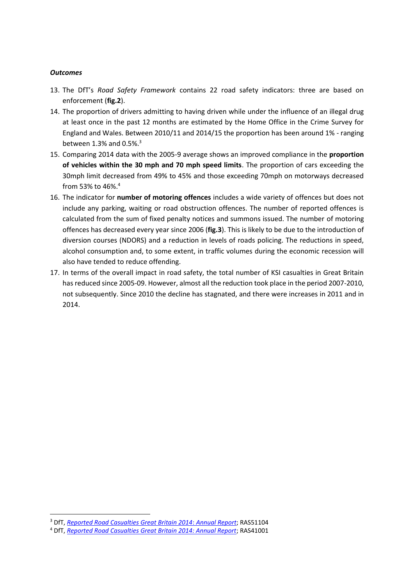#### *Outcomes*

- 13. The DfT's *Road Safety Framework* contains 22 road safety indicators: three are based on enforcement (**fig.2**).
- 14. The proportion of drivers admitting to having driven while under the influence of an illegal drug at least once in the past 12 months are estimated by the Home Office in the Crime Survey for England and Wales. Between 2010/11 and 2014/15 the proportion has been around 1% - ranging between 1.3% and  $0.5\%$ .<sup>3</sup>
- 15. Comparing 2014 data with the 2005-9 average shows an improved compliance in the **proportion of vehicles within the 30 mph and 70 mph speed limits**. The proportion of cars exceeding the 30mph limit decreased from 49% to 45% and those exceeding 70mph on motorways decreased from 53% to 46%.<sup>4</sup>
- 16. The indicator for **number of motoring offences** includes a wide variety of offences but does not include any parking, waiting or road obstruction offences. The number of reported offences is calculated from the sum of fixed penalty notices and summons issued. The number of motoring offences has decreased every year since 2006 (**fig.3**). This is likely to be due to the introduction of diversion courses (NDORS) and a reduction in levels of roads policing. The reductions in speed, alcohol consumption and, to some extent, in traffic volumes during the economic recession will also have tended to reduce offending.
- 17. In terms of the overall impact in road safety, the total number of KSI casualties in Great Britain has reduced since 2005-09. However, almost all the reduction took place in the period 2007-2010, not subsequently. Since 2010 the decline has stagnated, and there were increases in 2011 and in 2014.

<sup>3</sup> DfT, *[Reported Road Casualties Great Britain 2014](https://www.gov.uk/government/statistics/reported-road-casualties-great-britain-annual-report-2014)*: *Annual Report*; RAS51104

<sup>4</sup> DfT, *[Reported Road Casualties Great Britain 2014: Annual Report](https://www.gov.uk/government/statistics/reported-road-casualties-great-britain-annual-report-2014)*; RAS41001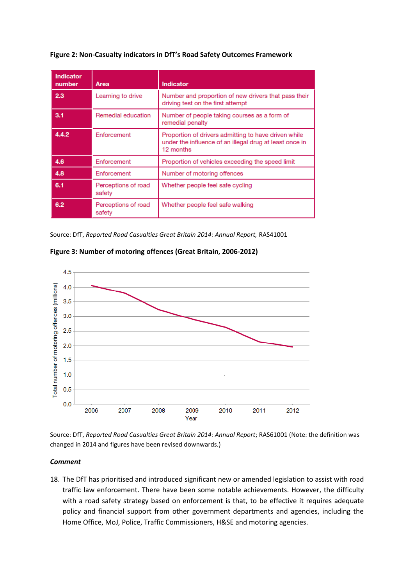| <b>Indicator</b><br>number | Area                          | <b>Indicator</b>                                                                                                             |
|----------------------------|-------------------------------|------------------------------------------------------------------------------------------------------------------------------|
| 2.3                        | Learning to drive             | Number and proportion of new drivers that pass their<br>driving test on the first attempt                                    |
| 3.1                        | Remedial education            | Number of people taking courses as a form of<br>remedial penalty                                                             |
| 4.4.2                      | Enforcement                   | Proportion of drivers admitting to have driven while<br>under the influence of an illegal drug at least once in<br>12 months |
| 4.6                        | Enforcement                   | Proportion of vehicles exceeding the speed limit                                                                             |
| 4.8                        | Enforcement                   | Number of motoring offences                                                                                                  |
| 6.1                        | Perceptions of road<br>safety | Whether people feel safe cycling                                                                                             |
| 6.2                        | Perceptions of road<br>safety | Whether people feel safe walking                                                                                             |

#### **Figure 2: Non-Casualty indicators in DfT's Road Safety Outcomes Framework**

Source: DfT, *Reported Road Casualties Great Britain 2014: Annual Report,* RAS41001





Source: DfT, *Reported Road Casualties Great Britain 2014: Annual Report*; RAS61001 (Note: the definition was changed in 2014 and figures have been revised downwards.)

#### *Comment*

18. The DfT has prioritised and introduced significant new or amended legislation to assist with road traffic law enforcement. There have been some notable achievements. However, the difficulty with a road safety strategy based on enforcement is that, to be effective it requires adequate policy and financial support from other government departments and agencies, including the Home Office, MoJ, Police, Traffic Commissioners, H&SE and motoring agencies.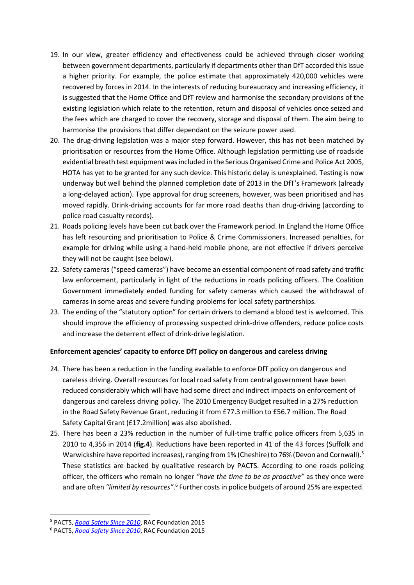- 19. In our view, greater efficiency and effectiveness could be achieved through closer working between government departments, particularly if departments other than DfT accorded this issue a higher priority. For example, the police estimate that approximately 420,000 vehicles were recovered by forces in 2014. In the interests of reducing bureaucracy and increasing efficiency, it is suggested that the Home Office and DfT review and harmonise the secondary provisions of the existing legislation which relate to the retention, return and disposal of vehicles once seized and the fees which are charged to cover the recovery, storage and disposal of them. The aim being to harmonise the provisions that differ dependant on the seizure power used.
- 20. The drug-driving legislation was a major step forward. However, this has not been matched by prioritisation or resources from the Home Office. Although legislation permitting use of roadside evidential breath test equipment was included in the Serious Organised Crime and Police Act 2005, HOTA has yet to be granted for any such device. This historic delay is unexplained. Testing is now underway but well behind the planned completion date of 2013 in the DfT's Framework (already a long-delayed action). Type approval for drug screeners, however, was been prioritised and has moved rapidly. Drink-driving accounts for far more road deaths than drug-driving (according to police road casualty records).
- 21. Roads policing levels have been cut back over the Framework period. In England the Home Office has left resourcing and prioritisation to Police & Crime Commissioners. Increased penalties, for example for driving while using a hand-held mobile phone, are not effective if drivers perceive they will not be caught (see below).
- 22. Safety cameras ("speed cameras") have become an essential component of road safety and traffic law enforcement, particularly in light of the reductions in roads policing officers. The Coalition Government immediately ended funding for safety cameras which caused the withdrawal of cameras in some areas and severe funding problems for local safety partnerships.
- 23. The ending of the "statutory option" for certain drivers to demand a blood test is welcomed. This should improve the efficiency of processing suspected drink-drive offenders, reduce police costs and increase the deterrent effect of drink-drive legislation.

#### **Enforcement agencies' capacity to enforce DfT policy on dangerous and careless driving**

- 24. There has been a reduction in the funding available to enforce DfT policy on dangerous and careless driving. Overall resources for local road safety from central government have been reduced considerably which will have had some direct and indirect impacts on enforcement of dangerous and careless driving policy. The 2010 Emergency Budget resulted in a 27% reduction in the Road Safety Revenue Grant, reducing it from £77.3 million to £56.7 million. The Road Safety Capital Grant (£17.2million) was also abolished.
- 25. There has been a 23% reduction in the number of full-time traffic police officers from 5,635 in 2010 to 4,356 in 2014 (**fig.4**). Reductions have been reported in 41 of the 43 forces (Suffolk and Warwickshire have reported increases), ranging from 1% (Cheshire) to 76% (Devon and Cornwall).<sup>5</sup> These statistics are backed by qualitative research by PACTS. According to one roads policing officer, the officers who remain no longer *"have the time to be as proactive"* as they once were and are often "limited by resources".<sup>6</sup> Further costs in police budgets of around 25% are expected.

<sup>5</sup> PACTS, *[Road Safety Since 2010](http://www.racfoundation.org/assets/rac_foundation/content/downloadables/Road_Safety_Since_2010_Amos_Davies_Fosdick_PACTS_RAC_Foundation_final_report_September_2015.pdf)*, RAC Foundation 2015

<sup>6</sup> PACTS, *[Road Safety Since 2010](http://www.racfoundation.org/assets/rac_foundation/content/downloadables/Road_Safety_Since_2010_Amos_Davies_Fosdick_PACTS_RAC_Foundation_final_report_September_2015.pdf)*, RAC Foundation 2015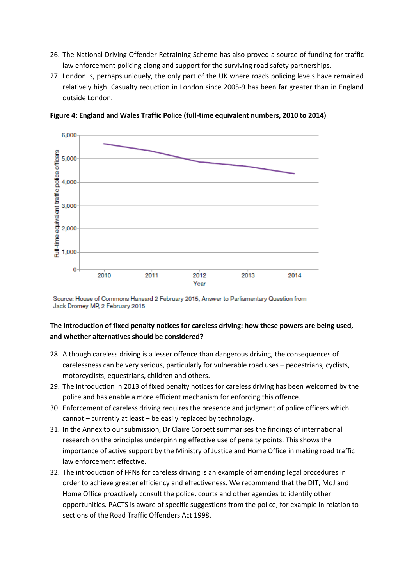- 26. The National Driving Offender Retraining Scheme has also proved a source of funding for traffic law enforcement policing along and support for the surviving road safety partnerships.
- 27. London is, perhaps uniquely, the only part of the UK where roads policing levels have remained relatively high. Casualty reduction in London since 2005-9 has been far greater than in England outside London.



**Figure 4: England and Wales Traffic Police (full-time equivalent numbers, 2010 to 2014)**

Source: House of Commons Hansard 2 February 2015, Answer to Parliamentary Question from Jack Dromey MP, 2 February 2015

# **The introduction of fixed penalty notices for careless driving: how these powers are being used, and whether alternatives should be considered?**

- 28. Although careless driving is a lesser offence than dangerous driving, the consequences of carelessness can be very serious, particularly for vulnerable road uses – pedestrians, cyclists, motorcyclists, equestrians, children and others.
- 29. The introduction in 2013 of fixed penalty notices for careless driving has been welcomed by the police and has enable a more efficient mechanism for enforcing this offence.
- 30. Enforcement of careless driving requires the presence and judgment of police officers which cannot – currently at least – be easily replaced by technology.
- 31. In the Annex to our submission, Dr Claire Corbett summarises the findings of international research on the principles underpinning effective use of penalty points. This shows the importance of active support by the Ministry of Justice and Home Office in making road traffic law enforcement effective.
- 32. The introduction of FPNs for careless driving is an example of amending legal procedures in order to achieve greater efficiency and effectiveness. We recommend that the DfT, MoJ and Home Office proactively consult the police, courts and other agencies to identify other opportunities. PACTS is aware of specific suggestions from the police, for example in relation to sections of the Road Traffic Offenders Act 1998.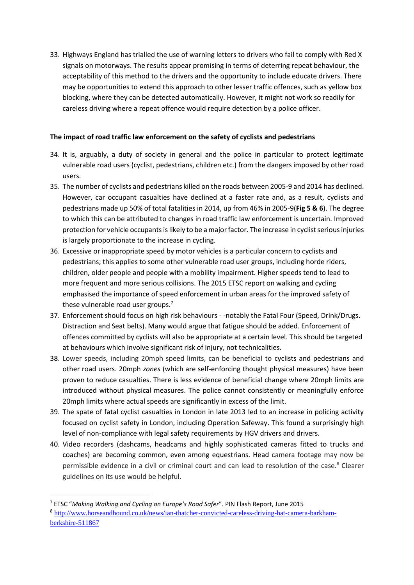33. Highways England has trialled the use of warning letters to drivers who fail to comply with Red X signals on motorways. The results appear promising in terms of deterring repeat behaviour, the acceptability of this method to the drivers and the opportunity to include educate drivers. There may be opportunities to extend this approach to other lesser traffic offences, such as yellow box blocking, where they can be detected automatically. However, it might not work so readily for careless driving where a repeat offence would require detection by a police officer.

### **The impact of road traffic law enforcement on the safety of cyclists and pedestrians**

- 34. It is, arguably, a duty of society in general and the police in particular to protect legitimate vulnerable road users (cyclist, pedestrians, children etc.) from the dangers imposed by other road users.
- 35. The number of cyclists and pedestrians killed on the roads between 2005-9 and 2014 has declined. However, car occupant casualties have declined at a faster rate and, as a result, cyclists and pedestrians made up 50% of total fatalities in 2014, up from 46% in 2005-9(**Fig 5 & 6**). The degree to which this can be attributed to changes in road traffic law enforcement is uncertain. Improved protection for vehicle occupants is likely to be a major factor. The increase in cyclist serious injuries is largely proportionate to the increase in cycling.
- 36. Excessive or inappropriate speed by motor vehicles is a particular concern to cyclists and pedestrians; this applies to some other vulnerable road user groups, including horde riders, children, older people and people with a mobility impairment. Higher speeds tend to lead to more frequent and more serious collisions. The 2015 ETSC report on walking and cycling emphasised the importance of speed enforcement in urban areas for the improved safety of these vulnerable road user groups.<sup>7</sup>
- 37. Enforcement should focus on high risk behaviours -notably the Fatal Four (Speed, Drink/Drugs. Distraction and Seat belts). Many would argue that fatigue should be added. Enforcement of offences committed by cyclists will also be appropriate at a certain level. This should be targeted at behaviours which involve significant risk of injury, not technicalities.
- 38. Lower speeds, including 20mph speed limits, can be beneficial to cyclists and pedestrians and other road users. 20mph *zones* (which are self-enforcing thought physical measures) have been proven to reduce casualties. There is less evidence of beneficial change where 20mph limits are introduced without physical measures. The police cannot consistently or meaningfully enforce 20mph limits where actual speeds are significantly in excess of the limit.
- 39. The spate of fatal cyclist casualties in London in late 2013 led to an increase in policing activity focused on cyclist safety in London, including Operation Safeway. This found a surprisingly high level of non-compliance with legal safety requirements by HGV drivers and drivers.
- 40. Video recorders (dashcams, headcams and highly sophisticated cameras fitted to trucks and coaches) are becoming common, even among equestrians. Head camera footage may now be permissible evidence in a civil or criminal court and can lead to resolution of the case.<sup>8</sup> Clearer guidelines on its use would be helpful.

<sup>7</sup> ETSC "*Making Walking and Cycling on Europe's Road Safer*". PIN Flash Report, June 2015

<sup>&</sup>lt;sup>8</sup> [http://www.horseandhound.co.uk/news/ian-thatcher-convicted-careless-driving-hat-camera-barkham](http://www.horseandhound.co.uk/news/ian-thatcher-convicted-careless-driving-hat-camera-barkham-berkshire-511867)[berkshire-511867](http://www.horseandhound.co.uk/news/ian-thatcher-convicted-careless-driving-hat-camera-barkham-berkshire-511867)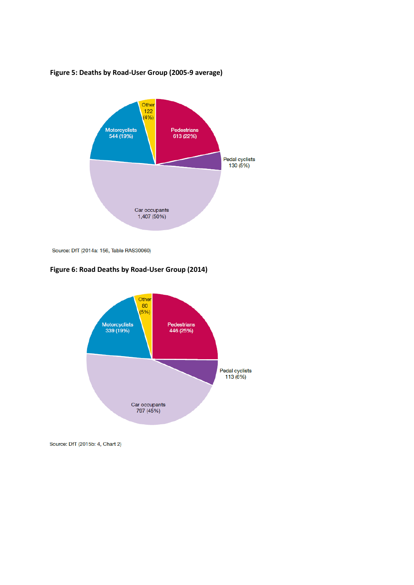

**Figure 5: Deaths by Road-User Group (2005-9 average)**

Source: DfT (2014a: 156, Table RAS30060)

### **Figure 6: Road Deaths by Road-User Group (2014)**



Source: DfT (2015b: 4, Chart 2)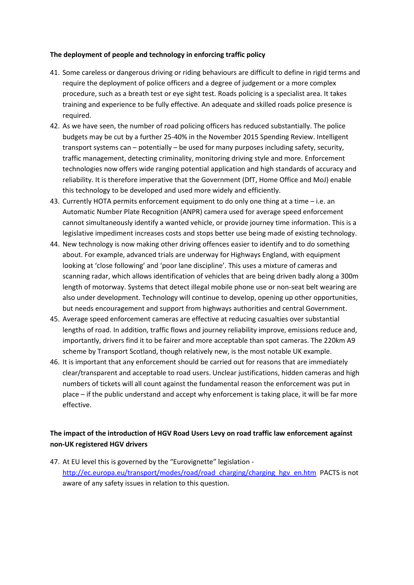### **The deployment of people and technology in enforcing traffic policy**

- 41. Some careless or dangerous driving or riding behaviours are difficult to define in rigid terms and require the deployment of police officers and a degree of judgement or a more complex procedure, such as a breath test or eye sight test. Roads policing is a specialist area. It takes training and experience to be fully effective. An adequate and skilled roads police presence is required.
- 42. As we have seen, the number of road policing officers has reduced substantially. The police budgets may be cut by a further 25-40% in the November 2015 Spending Review. Intelligent transport systems can – potentially – be used for many purposes including safety, security, traffic management, detecting criminality, monitoring driving style and more. Enforcement technologies now offers wide ranging potential application and high standards of accuracy and reliability. It is therefore imperative that the Government (DfT, Home Office and MoJ) enable this technology to be developed and used more widely and efficiently.
- 43. Currently HOTA permits enforcement equipment to do only one thing at a time i.e. an Automatic Number Plate Recognition (ANPR) camera used for average speed enforcement cannot simultaneously identify a wanted vehicle, or provide journey time information. This is a legislative impediment increases costs and stops better use being made of existing technology.
- 44. New technology is now making other driving offences easier to identify and to do something about. For example, advanced trials are underway for Highways England, with equipment looking at 'close following' and 'poor lane discipline'. This uses a mixture of cameras and scanning radar, which allows identification of vehicles that are being driven badly along a 300m length of motorway. Systems that detect illegal mobile phone use or non-seat belt wearing are also under development. Technology will continue to develop, opening up other opportunities, but needs encouragement and support from highways authorities and central Government.
- 45. Average speed enforcement cameras are effective at reducing casualties over substantial lengths of road. In addition, traffic flows and journey reliability improve, emissions reduce and, importantly, drivers find it to be fairer and more acceptable than spot cameras. The 220km A9 scheme by Transport Scotland, though relatively new, is the most notable UK example.
- 46. It is important that any enforcement should be carried out for reasons that are immediately clear/transparent and acceptable to road users. Unclear justifications, hidden cameras and high numbers of tickets will all count against the fundamental reason the enforcement was put in place – if the public understand and accept why enforcement is taking place, it will be far more effective.

# **The impact of the introduction of HGV Road Users Levy on road traffic law enforcement against non-UK registered HGV drivers**

47. At EU level this is governed by the "Eurovignette" legislation [http://ec.europa.eu/transport/modes/road/road\\_charging/charging\\_hgv\\_en.htm](http://ec.europa.eu/transport/modes/road/road_charging/charging_hgv_en.htm) PACTS is not aware of any safety issues in relation to this question.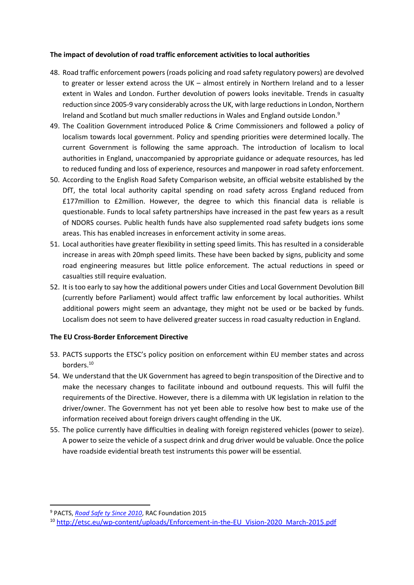### **The impact of devolution of road traffic enforcement activities to local authorities**

- 48. Road traffic enforcement powers (roads policing and road safety regulatory powers) are devolved to greater or lesser extend across the UK – almost entirely in Northern Ireland and to a lesser extent in Wales and London. Further devolution of powers looks inevitable. Trends in casualty reduction since 2005-9 vary considerably across the UK, with large reductions in London, Northern Ireland and Scotland but much smaller reductions in Wales and England outside London.<sup>9</sup>
- 49. The Coalition Government introduced Police & Crime Commissioners and followed a policy of localism towards local government. Policy and spending priorities were determined locally. The current Government is following the same approach. The introduction of localism to local authorities in England, unaccompanied by appropriate guidance or adequate resources, has led to reduced funding and loss of experience, resources and manpower in road safety enforcement.
- 50. According to the English Road Safety Comparison website, an official website established by the DfT, the total local authority capital spending on road safety across England reduced from £177million to £2million. However, the degree to which this financial data is reliable is questionable. Funds to local safety partnerships have increased in the past few years as a result of NDORS courses. Public health funds have also supplemented road safety budgets ions some areas. This has enabled increases in enforcement activity in some areas.
- 51. Local authorities have greater flexibility in setting speed limits. This has resulted in a considerable increase in areas with 20mph speed limits. These have been backed by signs, publicity and some road engineering measures but little police enforcement. The actual reductions in speed or casualties still require evaluation.
- 52. It is too early to say how the additional powers under Cities and Local Government Devolution Bill (currently before Parliament) would affect traffic law enforcement by local authorities. Whilst additional powers might seem an advantage, they might not be used or be backed by funds. Localism does not seem to have delivered greater success in road casualty reduction in England.

### **The EU Cross-Border Enforcement Directive**

- 53. PACTS supports the ETSC's policy position on enforcement within EU member states and across borders.<sup>10</sup>
- 54. We understand that the UK Government has agreed to begin transposition of the Directive and to make the necessary changes to facilitate inbound and outbound requests. This will fulfil the requirements of the Directive. However, there is a dilemma with UK legislation in relation to the driver/owner. The Government has not yet been able to resolve how best to make use of the information received about foreign drivers caught offending in the UK.
- 55. The police currently have difficulties in dealing with foreign registered vehicles (power to seize). A power to seize the vehicle of a suspect drink and drug driver would be valuable. Once the police have roadside evidential breath test instruments this power will be essential.

<sup>9</sup> PACTS, *[Road Safe ty Since 2010](http://www.racfoundation.org/assets/rac_foundation/content/downloadables/Road_Safety_Since_2010_Amos_Davies_Fosdick_PACTS_RAC_Foundation_final_report_September_2015.pdf)*, RAC Foundation 2015

<sup>&</sup>lt;sup>10</sup> [http://etsc.eu/wp-content/uploads/Enforcement-in-the-EU\\_Vision-2020\\_March-2015.pdf](http://etsc.eu/wp-content/uploads/Enforcement-in-the-EU_Vision-2020_March-2015.pdf)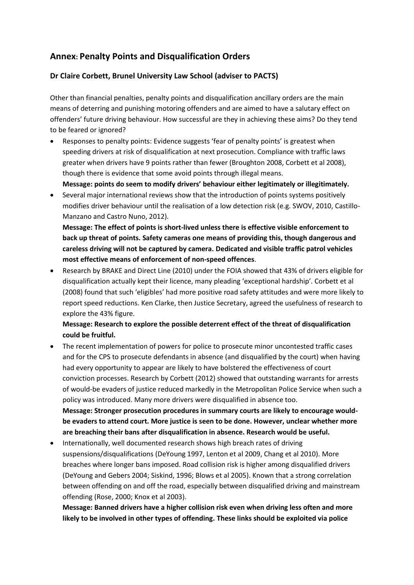# **Annex: Penalty Points and Disqualification Orders**

## **Dr Claire Corbett, Brunel University Law School (adviser to PACTS)**

Other than financial penalties, penalty points and disqualification ancillary orders are the main means of deterring and punishing motoring offenders and are aimed to have a salutary effect on offenders' future driving behaviour. How successful are they in achieving these aims? Do they tend to be feared or ignored?

 Responses to penalty points: Evidence suggests 'fear of penalty points' is greatest when speeding drivers at risk of disqualification at next prosecution. Compliance with traffic laws greater when drivers have 9 points rather than fewer (Broughton 2008, Corbett et al 2008), though there is evidence that some avoid points through illegal means.

**Message: points do seem to modify drivers' behaviour either legitimately or illegitimately.**

 Several major international reviews show that the introduction of points systems positively modifies driver behaviour until the realisation of a low detection risk (e.g. SWOV, 2010, Castillo-Manzano and Castro Nuno, 2012).

**Message: The effect of points is short-lived unless there is effective visible enforcement to back up threat of points. Safety cameras one means of providing this, though dangerous and careless driving will not be captured by camera. Dedicated and visible traffic patrol vehicles most effective means of enforcement of non-speed offences**.

 Research by BRAKE and Direct Line (2010) under the FOIA showed that 43% of drivers eligible for disqualification actually kept their licence, many pleading 'exceptional hardship'. Corbett et al (2008) found that such 'eligibles' had more positive road safety attitudes and were more likely to report speed reductions. Ken Clarke, then Justice Secretary, agreed the usefulness of research to explore the 43% figure.

# **Message: Research to explore the possible deterrent effect of the threat of disqualification could be fruitful.**

- The recent implementation of powers for police to prosecute minor uncontested traffic cases and for the CPS to prosecute defendants in absence (and disqualified by the court) when having had every opportunity to appear are likely to have bolstered the effectiveness of court conviction processes. Research by Corbett (2012) showed that outstanding warrants for arrests of would-be evaders of justice reduced markedly in the Metropolitan Police Service when such a policy was introduced. Many more drivers were disqualified in absence too. **Message: Stronger prosecution procedures in summary courts are likely to encourage wouldbe evaders to attend court. More justice is seen to be done. However, unclear whether more are breaching their bans after disqualification in absence. Research would be useful.**
- Internationally, well documented research shows high breach rates of driving suspensions/disqualifications (DeYoung 1997, Lenton et al 2009, Chang et al 2010). More breaches where longer bans imposed. Road collision risk is higher among disqualified drivers (DeYoung and Gebers 2004; Siskind, 1996; Blows et al 2005). Known that a strong correlation between offending on and off the road, especially between disqualified driving and mainstream offending (Rose, 2000; Knox et al 2003).

**Message: Banned drivers have a higher collision risk even when driving less often and more likely to be involved in other types of offending. These links should be exploited via police**